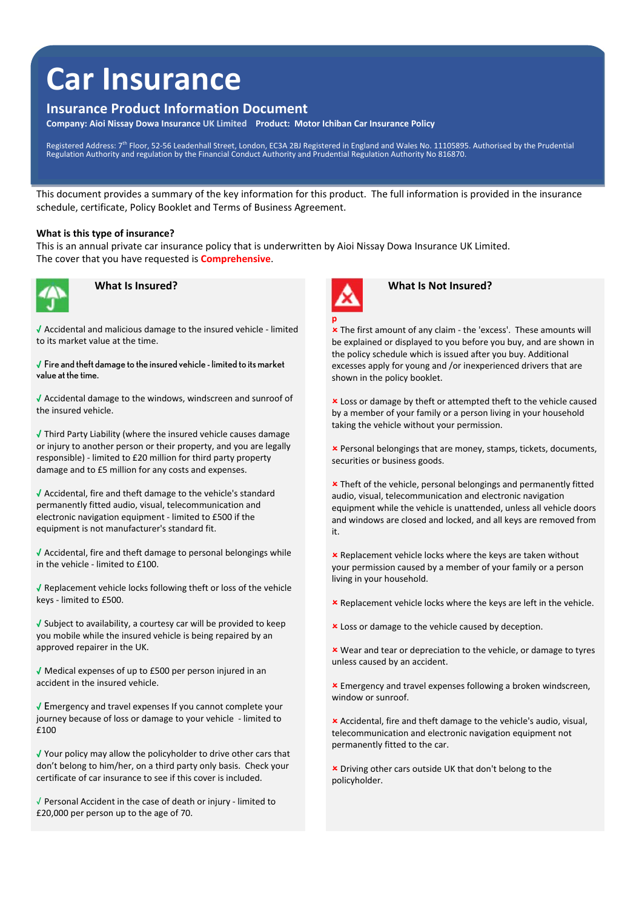# **Car Insurance**

# **Insurance Product Information Document**

**Company: Aioi Nissay Dowa Insurance UK Limited Product: Motor Ichiban Car Insurance Policy**

Registered Address: 7th Floor, 52-56 Leadenhall Street, London, EC3A 2BJ Registered in England and Wales No. 11105895. Authorised by the Prudential<br>Regulation Authority and regulation by the Financial Conduct Authority and

This document provides a summary of the key information for this product. The full information is provided in the insurance schedule, certificate, Policy Booklet and Terms of Business Agreement.

#### **What is this type of insurance?**

This is an annual private car insurance policy that is underwritten by Aioi Nissay Dowa Insurance UK Limited. The cover that you have requested is **Comprehensive**.



√ Accidental and malicious damage to the insured vehicle ‐ limited to its market value at the time.

√ Fire and theft damage to the insured vehicle - limited to its market value at the time.

√ Accidental damage to the windows, windscreen and sunroof of the insured vehicle.

√ Third Party Liability (where the insured vehicle causes damage or injury to another person or their property, and you are legally responsible) ‐ limited to £20 million for third party property damage and to £5 million for any costs and expenses.

√ Accidental, fire and theft damage to the vehicle's standard permanently fitted audio, visual, telecommunication and electronic navigation equipment ‐ limited to £500 if the equipment is not manufacturer's standard fit.

√ Accidental, fire and theft damage to personal belongings while in the vehicle ‐ limited to £100.

√ Replacement vehicle locks following theft or loss of the vehicle keys ‐ limited to £500.

√ Subject to availability, a courtesy car will be provided to keep you mobile while the insured vehicle is being repaired by an approved repairer in the UK.

√ Medical expenses of up to £500 per person injured in an accident in the insured vehicle.

√ Emergency and travel expenses If you cannot complete your journey because of loss or damage to your vehicle ‐ limited to £100

√ Your policy may allow the policyholder to drive other cars that don't belong to him/her, on a third party only basis. Check your certificate of car insurance to see if this cover is included.

√ Personal Accident in the case of death or injury ‐ limited to £20,000 per person up to the age of 70.



### *What Is Insured?* **<b>**   *What Is Not Insured?*

 The first amount of any claim ‐ the 'excess'. These amounts will be explained or displayed to you before you buy, and are shown in the policy schedule which is issued after you buy. Additional excesses apply for young and /or inexperienced drivers that are shown in the policy booklet.

 Loss or damage by theft or attempted theft to the vehicle caused by a member of your family or a person living in your household taking the vehicle without your permission.

 Personal belongings that are money, stamps, tickets, documents, securities or business goods.

**x** Theft of the vehicle, personal belongings and permanently fitted audio, visual, telecommunication and electronic navigation equipment while the vehicle is unattended, unless all vehicle doors and windows are closed and locked, and all keys are removed from it.

**x** Replacement vehicle locks where the keys are taken without your permission caused by a member of your family or a person living in your household.

**EX** Replacement vehicle locks where the keys are left in the vehicle.

**x** Loss or damage to the vehicle caused by deception.

 Wear and tear or depreciation to the vehicle, or damage to tyres unless caused by an accident.

 Emergency and travel expenses following a broken windscreen, window or sunroof.

 Accidental, fire and theft damage to the vehicle's audio, visual, telecommunication and electronic navigation equipment not permanently fitted to the car.

 Driving other cars outside UK that don't belong to the policyholder.